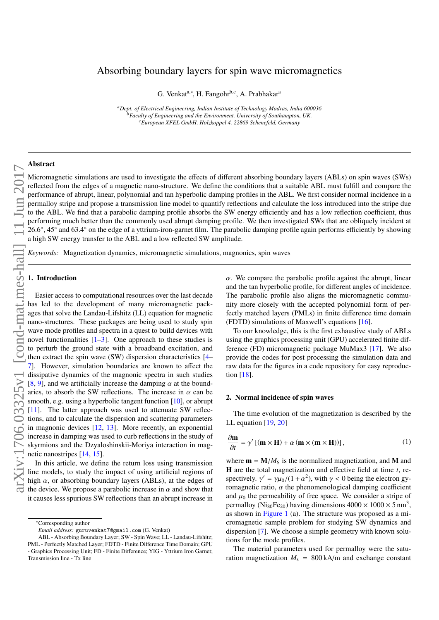# Absorbing boundary layers for spin wave micromagnetics

G. Venkat<sup>a,∗</sup>, H. Fangohr<sup>b,c</sup>, A. Prabhakar<sup>a</sup>

*<sup>a</sup>Dept. of Electrical Engineering, Indian Institute of Technology Madras, India 600036 <sup>b</sup>Faculty of Engineering and the Environment, University of Southampton, UK. <sup>c</sup>European XFEL GmbH, Holzkoppel 4, 22869 Schenefeld, Germany*

### Abstract

Micromagnetic simulations are used to investigate the effects of different absorbing boundary layers (ABLs) on spin waves (SWs) reflected from the edges of a magnetic nano-structure. We define the conditions that a suitable ABL must fulfill and compare the performance of abrupt, linear, polynomial and tan hyperbolic damping profiles in the ABL. We first consider normal incidence in a permalloy stripe and propose a transmission line model to quantify reflections and calculate the loss introduced into the stripe due to the ABL. We find that a parabolic damping profile absorbs the SW energy efficiently and has a low reflection coefficient, thus performing much better than the commonly used abrupt damping profile. We then investigated SWs that are obliquely incident at 26.6°, 45° and 63.4 26.6°, 45° and 63.4° on the edge of a yttrium-iron-garnet film. The parabolic damping profile again performs efficiently by showing a high SW energy transfer to the ABL and a low reflected SW amplitude.

*Keywords:* Magnetization dynamics, micromagnetic simulations, magnonics, spin waves

#### 1. Introduction

Easier access to computational resources over the last decade has led to the development of many micromagnetic packages that solve the Landau-Lifshitz (LL) equation for magnetic nano-structures. These packages are being used to study spin wave mode profiles and spectra in a quest to build devices with novel functionalities  $[1-3]$ . One approach to these studies is to perturb the ground state with a broadband excitation, and then extract the spin wave (SW) dispersion characteristics [4– 7]. However, simulation boundaries are known to affect the dissipative dynamics of the magnonic spectra in such studies [8, 9], and we artificially increase the damping  $\alpha$  at the boundaries, to absorb the SW reflections. The increase in  $\alpha$  can be smooth, e.g. using a hyperbolic tangent function [10], or abrupt [11]. The latter approach was used to attenuate SW reflections, and to calculate the dispersion and scattering parameters in magnonic devices [12, 13]. More recently, an exponential increase in damping was used to curb reflections in the study of skyrmions and the Dzyaloshinskii-Moriya interaction in magnetic nanostripes [14, 15].

In this article, we define the return loss using transmission line models, to study the impact of using artificial regions of high  $\alpha$ , or absorbing boundary layers (ABLs), at the edges of the device. We propose a parabolic increase in  $\alpha$  and show that it causes less spurious SW reflections than an abrupt increase in  $\alpha$ . We compare the parabolic profile against the abrupt, linear and the tan hyperbolic profile, for different angles of incidence. The parabolic profile also aligns the micromagnetic community more closely with the accepted polynomial form of perfectly matched layers (PMLs) in finite difference time domain (FDTD) simulations of Maxwell's equations [16].

To our knowledge, this is the first exhaustive study of ABLs using the graphics processing unit (GPU) accelerated finite difference (FD) micromagnetic package MuMax3 [17]. We also provide the codes for post processing the simulation data and raw data for the figures in a code repository for easy reproduction [18].

## 2. Normal incidence of spin waves

The time evolution of the magnetization is described by the LL equation [19, 20]

$$
\frac{\partial \mathbf{m}}{\partial t} = \gamma' \left[ (\mathbf{m} \times \mathbf{H}) + \alpha \left( \mathbf{m} \times (\mathbf{m} \times \mathbf{H}) \right) \right],\tag{1}
$$

where  $\mathbf{m} = \mathbf{M}/M_{\rm S}$  is the normalized magnetization, and **M** and H are the total magnetization and effective field at time *t*, respectively.  $\gamma' = \gamma \mu_0 / (1 + \alpha^2)$ , with  $\gamma < 0$  being the electron gyromagnetic ratio,  $\alpha$  the phenomenological damping coefficient and  $\mu_0$  the permeability of free space. We consider a stripe of permalloy (Ni<sub>80</sub>Fe<sub>20</sub>) having dimensions  $4000 \times 1000 \times 5$  nm<sup>3</sup>, as shown in Figure 1 (a). The structure was proposed as a micromagnetic sample problem for studying SW dynamics and dispersion [7]. We choose a simple geometry with known solutions for the mode profiles.

The material parameters used for permalloy were the saturation magnetization  $M_s = 800 \text{ kA/m}$  and exchange constant

<sup>∗</sup>Corresponding author

*Email address:* guruvenkat7@gmail.com (G. Venkat)

ABL - Absorbing Boundary Layer; SW - Spin Wave; LL - Landau-Lifshitz; PML - Perfectly Matched Layer; FDTD - Finite Difference Time Domain; GPU - Graphics Processing Unit; FD - Finite Difference; YIG - Yttrium Iron Garnet; Transmission line - Tx line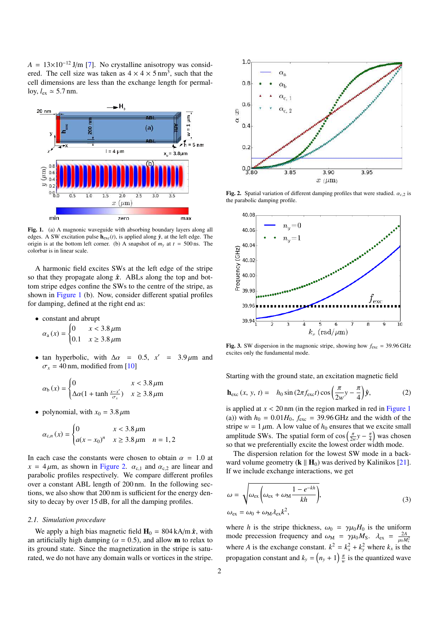$A = 13 \times 10^{-12}$  J/m [7]. No crystalline anisotropy was considered. The cell size was taken as  $4 \times 4 \times 5$  nm<sup>3</sup>, such that the cell dimensions are less than the exchange length for permalloy,  $l_{ex} \simeq 5.7$  nm.



Fig. 1. (a) A magnonic waveguide with absorbing boundary layers along all edges. A SW excitation pulse  $h_{\text{exc}}(t)$ , is applied along  $\hat{y}$ , at the left edge. The origin is at the bottom left corner. (b) A snapshot of  $m<sub>v</sub>$  at  $t = 500$  ns. The colorbar is in linear scale.

A harmonic field excites SWs at the left edge of the stripe so that they propagate along  $\hat{x}$ . ABLs along the top and bottom stripe edges confine the SWs to the centre of the stripe, as shown in Figure 1 (b). Now, consider different spatial profiles for damping, defined at the right end as:

• constant and abrupt

$$
\alpha_{\rm a}(x) = \begin{cases} 0 & x < 3.8 \,\mu\text{m} \\ 0.1 & x \ge 3.8 \,\mu\text{m} \end{cases}
$$

• tan hyperbolic, with  $\Delta \alpha = 0.5$ ,  $x' = 3.9 \,\mu \text{m}$  and  $\sigma_x$  = 40 nm, modified from [10]

$$
\alpha_{\text{b}}\left(x\right) = \begin{cases} 0 & x < 3.8 \,\mu\text{m} \\ \Delta\alpha(1 + \tanh\frac{x - x'}{\sigma_x}) & x \ge 3.8 \,\mu\text{m} \end{cases}
$$

• polynomial, with  $x_0 = 3.8 \,\mu\text{m}$ 

$$
\alpha_{c,n}(x) = \begin{cases} 0 & x < 3.8 \,\mu\text{m} \\ a(x - x_0)^n & x \ge 3.8 \,\mu\text{m} & n = 1,2 \end{cases}
$$

In each case the constants were chosen to obtain  $\alpha = 1.0$  at  $x = 4 \mu m$ , as shown in Figure 2.  $\alpha_{c,1}$  and  $\alpha_{c,2}$  are linear and parabolic profiles respectively. We compare different profiles over a constant ABL length of 200 nm. In the following sections, we also show that 200 nm is sufficient for the energy density to decay by over 15 dB, for all the damping profiles.

#### *2.1. Simulation procedure*

We apply a high bias magnetic field  $H_0 = 804 \text{ kA/m} \hat{x}$ , with an artificially high damping ( $\alpha = 0.5$ ), and allow **m** to relax to its ground state. Since the magnetization in the stripe is saturated, we do not have any domain walls or vortices in the stripe.



Fig. 2. Spatial variation of different damping profiles that were studied.  $\alpha_{c,2}$  is the parabolic damping profile.



**Fig. 3.** SW dispersion in the magnonic stripe, showing how  $f_{\text{exc}} = 39.96 \text{ GHz}$ excites only the fundamental mode.

Starting with the ground state, an excitation magnetic field

$$
\mathbf{h}_{\rm exc}\left(x,\,y,\,t\right) = \quad h_0 \sin\left(2\pi f_{\rm exc}t\right) \cos\left(\frac{\pi}{2w}y - \frac{\pi}{4}\right)\hat{\mathbf{y}},\tag{2}
$$

is applied at  $x < 20$  nm (in the region marked in red in Figure 1) (a)) with  $h_0 = 0.01H_0$ ,  $f_{\text{exc}} = 39.96 \text{ GHz}$  and the width of the stripe  $w = 1 \mu m$ . A low value of  $h_0$  ensures that we excite small amplitude SWs. The spatial form of  $\cos\left(\frac{\pi}{2w}y - \frac{\pi}{4}\right)$  was chosen so that we preferentially excite the lowest order width mode.

The dispersion relation for the lowest SW mode in a backward volume geometry  $(k \parallel H_0)$  was derived by Kalinikos [21]. If we include exchange interactions, we get

$$
\omega = \sqrt{\omega_{\text{ex}} \left( \omega_{\text{ex}} + \omega_{\text{M}} \frac{1 - e^{-kh}}{kh} \right)},
$$
  
\n
$$
\omega_{\text{ex}} = \omega_0 + \omega_{\text{M}} \lambda_{\text{ex}} k^2,
$$
\n(3)

where *h* is the stripe thickness,  $\omega_0 = \gamma \mu_0 H_0$  is the uniform mode precession frequency and  $\omega_M = \gamma \mu_0 M_S$ .  $\lambda_{ex} = \frac{2A}{\mu_0 M_S^2}$ where *A* is the exchange constant.  $k^2 = k_x^2 + k_y^2$  where  $k_x$  is the propagation constant and  $k_y = (n_y + 1) \frac{\pi}{w}$  is the quantized wave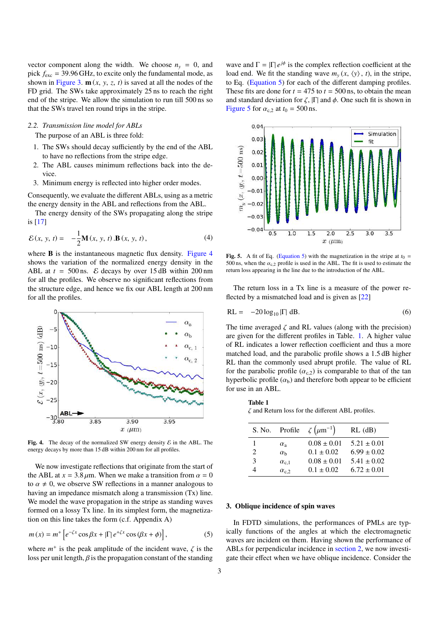vector component along the width. We choose  $n_y = 0$ , and pick  $f_{\text{exc}} = 39.96 \text{ GHz}$ , to excite only the fundamental mode, as shown in Figure 3.  $\mathbf{m}(x, y, z, t)$  is saved at all the nodes of the FD grid. The SWs take approximately 25 ns to reach the right end of the stripe. We allow the simulation to run till 500 ns so that the SWs travel ten round trips in the stripe.

## *2.2. Transmission line model for ABLs*

The purpose of an ABL is three fold:

- 1. The SWs should decay sufficiently by the end of the ABL to have no reflections from the stripe edge.
- 2. The ABL causes minimum reflections back into the device.
- 3. Minimum energy is reflected into higher order modes.

Consequently, we evaluate the different ABLs, using as a metric the energy density in the ABL and reflections from the ABL.

The energy density of the SWs propagating along the stripe is [17]

$$
\mathcal{E}(x, y, t) = -\frac{1}{2}\mathbf{M}(x, y, t). \mathbf{B}(x, y, t), \tag{4}
$$

where **B** is the instantaneous magnetic flux density. Figure 4 shows the variation of the normalized energy density in the ABL at  $t = 500$  ns.  $\&&$  decays by over 15 dB within 200 nm for all the profiles. We observe no significant reflections from the structure edge, and hence we fix our ABL length at 200 nm for all the profiles.



Fig. 4. The decay of the normalized SW energy density  $\mathcal E$  in the ABL. The energy decays by more than 15 dB within 200 nm for all profiles.

We now investigate reflections that originate from the start of the ABL at  $x = 3.8 \mu m$ . When we make a transition from  $\alpha = 0$ to  $\alpha \neq 0$ , we observe SW reflections in a manner analogous to having an impedance mismatch along a transmission (Tx) line. We model the wave propagation in the stripe as standing waves formed on a lossy Tx line. In its simplest form, the magnetization on this line takes the form (c.f. Appendix A)

$$
m(x) = m^{+} \left[ e^{-\zeta x} \cos \beta x + |\Gamma| e^{+\zeta x} \cos (\beta x + \phi) \right],
$$
 (5)

where  $m^+$  is the peak amplitude of the incident wave,  $\zeta$  is the loss per unit length,  $\beta$  is the propagation constant of the standing

wave and  $\Gamma = |\Gamma| e^{j\phi}$  is the complex reflection coefficient at the load end. We fit the standing wave  $m_v(x, \langle y \rangle, t)$ , in the stripe, to Eq. (Equation 5) for each of the different damping profiles. These fits are done for  $t = 475$  to  $t = 500$  ns, to obtain the mean and standard deviation for  $\zeta$ ,  $|\Gamma|$  and  $\phi$ . One such fit is shown in Figure 5 for  $\alpha_{c,2}$  at  $t_0 = 500$  ns.



Fig. 5. A fit of Eq. (Equation 5) with the magnetization in the stripe at  $t_0 =$ 500 ns, when the  $\alpha_{c,2}$  profile is used in the ABL. The fit is used to estimate the return loss appearing in the line due to the introduction of the ABL.

The return loss in a Tx line is a measure of the power reflected by a mismatched load and is given as [22]

$$
RL = -20 \log_{10} |\Gamma| dB.
$$
 (6)

The time averaged  $\zeta$  and RL values (along with the precision) are given for the different profiles in Table. 1. A higher value of RL indicates a lower reflection coefficient and thus a more matched load, and the parabolic profile shows a 1.5 dB higher RL than the commonly used abrupt profile. The value of RL for the parabolic profile  $(\alpha_{c,2})$  is comparable to that of the tan hyperbolic profile  $(\alpha_b)$  and therefore both appear to be efficient for use in an ABL.

Table 1  $\zeta$  and Return loss for the different ABL profiles.

|                | S. No. Profile   | $\zeta(\mu m^{-1})$ | $RL$ (dB)       |
|----------------|------------------|---------------------|-----------------|
|                | $\alpha_{\rm a}$ | $0.08 \pm 0.01$     | $5.21 \pm 0.01$ |
| $\mathfrak{D}$ | $\alpha_{h}$     | $0.1 \pm 0.02$      | $6.99 \pm 0.02$ |
| 3              | $\alpha_{c,1}$   | $0.08 \pm 0.01$     | $5.41 \pm 0.02$ |
|                | $\alpha_{c,2}$   | $0.1 \pm 0.02$      | $6.72 \pm 0.01$ |

#### 3. Oblique incidence of spin waves

In FDTD simulations, the performances of PMLs are typically functions of the angles at which the electromagnetic waves are incident on them. Having shown the performance of ABLs for perpendicular incidence in section 2, we now investigate their effect when we have oblique incidence. Consider the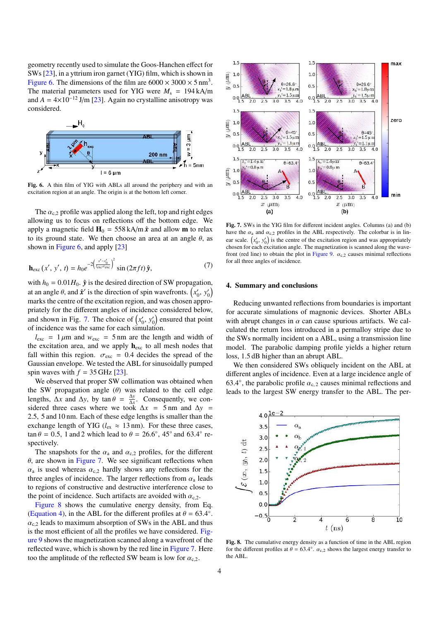geometry recently used to simulate the Goos-Hanchen effect for SWs [23], in a yttrium iron garnet (YIG) film, which is shown in Figure 6. The dimensions of the film are  $6000 \times 3000 \times 5$  nm<sup>3</sup>. The material parameters used for YIG were  $M_s = 194 \text{ kA/m}$ and  $A = 4 \times 10^{-12}$  J/m [23]. Again no crystalline anisotropy was considered.



Fig. 6. A thin film of YIG with ABLs all around the periphery and with an excitation region at an angle. The origin is at the bottom left corner.

The  $\alpha_{c,2}$  profile was applied along the left, top and right edges allowing us to focus on reflections off the bottom edge. We apply a magnetic field  $H_0 = 558 \text{ kA/m} \hat{x}$  and allow **m** to relax to its ground state. We then choose an area at an angle  $\theta$ , as shown in Figure 6, and apply [23]

$$
\mathbf{h}_{\rm exc}\left(x',\,y',\,t\right) = h_0 e^{-2\left(\frac{x'-x'_0}{\ell_{\rm exc}\sigma_{\rm exc}}\right)^2} \sin\left(2\pi ft\right)\hat{\mathbf{y}},\tag{7}
$$

with  $h_0 = 0.01H_0$ .  $\hat{y}$  is the desired direction of SW propagation, at an angle  $\theta$ , and  $\hat{\mathbf{x}}'$  is the direction of spin wavefronts.  $(x'_0, y'_0)$ marks the centre of the excitation region, and was chosen appropriately for the different angles of incidence considered below, and shown in Fig. 7. The choice of  $(x'_0, y'_0)$  ensured that point of incidence was the same for each simulation.

 $l_{\text{exc}} = 1 \mu \text{m}$  and  $w_{\text{exc}} = 5 \text{ nm}$  are the length and width of the excitation area, and we apply  $h_{\text{exc}}$  to all mesh nodes that fall within this region.  $\sigma_{\text{exc}} = 0.4$  decides the spread of the Gaussian envelope. We tested the ABL for sinusoidally pumped spin waves with  $f = 35$  GHz [23].

We observed that proper SW collimation was obtained when the SW propagation angle  $(\theta)$  was related to the cell edge lengths,  $\Delta x$  and  $\Delta y$ , by tan  $\theta = \frac{\Delta y}{\Delta x}$  $\frac{\Delta y}{\Delta x}$ . Consequently, we considered three cases where we took  $\Delta x = 5$  nm and  $\Delta y =$ 2.5, 5 and 10 nm. Each of these edge lengths is smaller than the exchange length of YIG ( $l_{\text{ex}} \approx 13 \text{ nm}$ ). For these three cases,  $\tan \theta = 0.5$ , 1 and 2 which lead to  $\theta = 26.6^{\circ}$ , 45° and 63.4° respectively.

The snapshots for the  $\alpha_a$  and  $\alpha_{c,2}$  profiles, for the different  $\theta$ , are shown in Figure 7. We see significant reflections when  $\alpha_a$  is used whereas  $\alpha_{c,2}$  hardly shows any reflections for the three angles of incidence. The larger reflections from  $\alpha_a$  leads to regions of constructive and destructive interference close to the point of incidence. Such artifacts are avoided with  $\alpha_{c,2}$ .

Figure 8 shows the cumulative energy density, from Eq. (Equation 4), in the ABL for the different profiles at  $\theta = 63.4^{\circ}$ .  $\alpha_c$  leads to maximum absorption of SWs in the ABL and thus is the most efficient of all the profiles we have considered. Figure 9 shows the magnetization scanned along a wavefront of the reflected wave, which is shown by the red line in Figure 7. Here too the amplitude of the reflected SW beam is low for  $\alpha_{c,2}$ .



Fig. 7. SWs in the YIG film for different incident angles. Columns (a) and (b) have the  $\alpha_a$  and  $\alpha_{c,2}$  profiles in the ABL respectively. The colorbar is in linear scale.  $(x'_0, y'_0)$  is the centre of the excitation region and was appropriately chosen for each excitation angle. The magnetization is scanned along the wavefront (red line) to obtain the plot in Figure 9.  $\alpha_{c,2}$  causes minimal reflections for all three angles of incidence.

#### 4. Summary and conclusions

Reducing unwanted reflections from boundaries is important for accurate simulations of magnonic devices. Shorter ABLs with abrupt changes in  $\alpha$  can cause spurious artifacts. We calculated the return loss introduced in a permalloy stripe due to the SWs normally incident on a ABL, using a transmission line model. The parabolic damping profile yields a higher return loss, 1.5 dB higher than an abrupt ABL.

We then considered SWs obliquely incident on the ABL at different angles of incidence. Even at a large incidence angle of 63.4°, the parabolic profile  $\alpha_{c,2}$  causes minimal reflections and leads to the largest SW energy transfer to the ABL. The per-



Fig. 8. The cumulative energy density as a function of time in the ABL region for the different profiles at  $\theta = 63.4^{\circ}$ .  $\alpha_{c,2}$  shows the largest energy transfer to the ABL.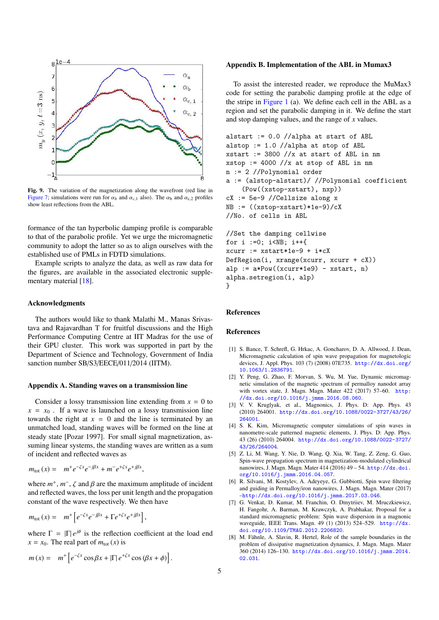

Fig. 9. The variation of the magnetization along the wavefront (red line in Figure 7; simulations were run for  $\alpha_b$  and  $\alpha_{c,1}$  also). The  $\alpha_b$  and  $\alpha_{c,2}$  profiles show least reflections from the ABL.

formance of the tan hyperbolic damping profile is comparable to that of the parabolic profile. Yet we urge the micromagnetic community to adopt the latter so as to align ourselves with the established use of PMLs in FDTD simulations.

Example scripts to analyze the data, as well as raw data for the figures, are available in the associated electronic supplementary material [18].

#### Acknowledgments

The authors would like to thank Malathi M., Manas Srivastava and Rajavardhan T for fruitful discussions and the High Performance Computing Centre at IIT Madras for the use of their GPU cluster. This work was supported in part by the Department of Science and Technology, Government of India sanction number SB/S3/EECE/011/2014 (IITM).

#### Appendix A. Standing waves on a transmission line

Consider a lossy transmission line extending from  $x = 0$  to  $x = x_0$ . If a wave is launched on a lossy transmission line towards the right at  $x = 0$  and the line is terminated by an unmatched load, standing waves will be formed on the line at steady state [Pozar 1997]. For small signal magnetization, assuming linear systems, the standing waves are written as a sum of incident and reflected waves as

$$
m_{\text{tot}}(x) = m^+ e^{-\zeta x} e^{-j\beta x} + m^- e^{+\zeta x} e^{+j\beta x},
$$

where  $m^+$ ,  $m^-$ ,  $\zeta$  and  $\beta$  are the maximum amplitude of incident and reflected waves, the loss per unit length and the propagation constant of the wave respectively. We then have

$$
m_{\text{tot}}(x) = m^+ \left[ e^{-\zeta x} e^{-j\beta x} + \Gamma e^{+\zeta x} e^{+j\beta x} \right],
$$

where  $\Gamma = |\Gamma| e^{j\phi}$  is the reflection coefficient at the load end  $x = x_0$ . The real part of  $m_{tot}(x)$  is

$$
m(x) = m^+ \left[ e^{-\zeta x} \cos \beta x + |\Gamma| e^{+\zeta x} \cos (\beta x + \phi) \right].
$$

## Appendix B. Implementation of the ABL in Mumax3

To assist the interested reader, we reproduce the MuMax3 code for setting the parabolic damping profile at the edge of the stripe in Figure 1 (a). We define each cell in the ABL as a region and set the parabolic damping in it. We define the start and stop damping values, and the range of *x* values.

```
alstart := 0.0 //alpha at start of ABL
alstop := 1.0 //alpha at stop of ABL
xstart := 3800 //x at start of ABL in nm
xstop := 4000 //x at stop of ABL in nm
n := 2 //Polynomial order
a := (alstop-alstart)/ //Polynomial coefficient
    (Pow((xstop-xstart), nxp))
cX := 5e-9 //Cellsize along x
NB := ((xstop- xstart)*1e-9)/cX//No. of cells in ABL
//Set the damping cellwise
for i :=0; i<NB; i++{
xcurr := xstart*1e-9 + i*cX
DefRegion(i, xrange(xcurr, xcurr + cX))
alp := a*Pow((xcurr*1e9) - xstart, n)alpha.setregion(i, alp)
}
```
## References

#### References

- [1] S. Bance, T. Schrefl, G. Hrkac, A. Goncharov, D. A. Allwood, J. Dean, Micromagnetic calculation of spin wave propagation for magnetologic devices, J. Appl. Phys. 103 (7) (2008) 07E735. http://dx.doi.org/ 10.1063/1.2836791.
- [2] Y. Peng, G. Zhao, F. Morvan, S. Wu, M. Yue, Dynamic micromagnetic simulation of the magnetic spectrum of permalloy nanodot array with vortex state, J. Magn. Magn. Mater 422 (2017) 57–60. http: //dx.doi.org/10.1016/j.jmmm.2016.08.060.
- [3] V. V. Kruglyak, et al., Magnonics, J. Phys. D: App. Phys. 43 (2010) 264001. http://dx.doi.org/10.1088/0022-3727/43/26/ 264001.
- [4] S. K. Kim, Micromagnetic computer simulations of spin waves in nanometre-scale patterned magnetic elements, J. Phys. D: App. Phys. 43 (26) (2010) 264004. http://dx.doi.org/10.1088/0022-3727/ 43/26/264004.
- [5] Z. Li, M. Wang, Y. Nie, D. Wang, Q. Xia, W. Tang, Z. Zeng, G. Guo, Spin-wave propagation spectrum in magnetization-modulated cylindrical nanowires, J. Magn. Magn. Mater 414 (2016) 49 – 54. http://dx.doi. org/10.1016/j.jmmm.2016.04.057.
- [6] R. Silvani, M. Kostylev, A. Adeyeye, G. Gubbiotti, Spin wave filtering and guiding in Permalloy/iron nanowires, J. Magn. Magn. Mater (2017) –http://dx.doi.org/10.1016/j.jmmm.2017.03.046.
- [7] G. Venkat, D. Kumar, M. Franchin, O. Dmytriiev, M. Mruczkiewicz, H. Fangohr, A. Barman, M. Krawczyk, A. Prabhakar, Proposal for a standard micromagnetic problem: Spin wave dispersion in a magnonic waveguide, IEEE Trans. Magn. 49 (1) (2013) 524–529. http://dx. doi.org/10.1109/TMAG.2012.2206820.
- M. Fähnle, A. Slavin, R. Hertel, Role of the sample boundaries in the problem of dissipative magnetization dynamics, J. Magn. Magn. Mater 360 (2014) 126–130. http://dx.doi.org/10.1016/j.jmmm.2014. 02.031.